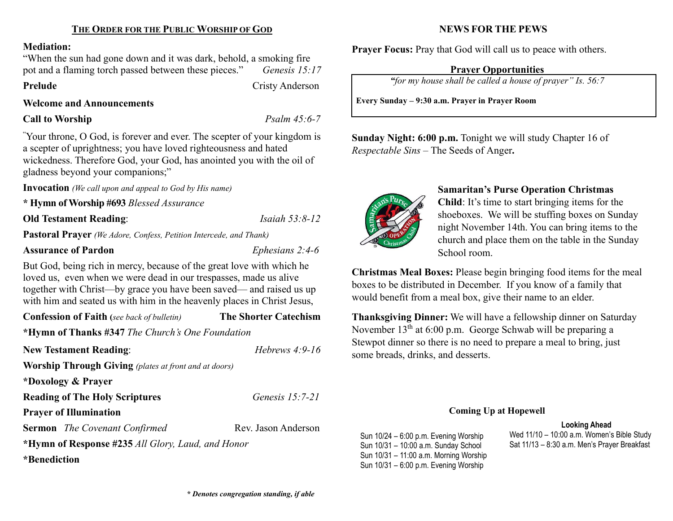#### Mediation:

"When the sun had gone down and it was dark, behold, a smoking fire pot and a flaming torch passed between these pieces." Genesis 15:17

Prelude Cristy Anderson

#### Welcome and Announcements

Call to Worship Psalm 45:6-7

"Your throne, O God, is forever and ever. The scepter of your kingdom is a scepter of uprightness; you have loved righteousness and hated wickedness. Therefore God, your God, has anointed you with the oil of gladness beyond your companions;"

Invocation (We call upon and appeal to God by His name)

\* Hymn of Worship #693 Blessed Assurance

**Old Testament Reading:** *Isaiah 53:8-12* 

Pastoral Prayer (We Adore, Confess, Petition Intercede, and Thank)

## Assurance of Pardon Ephesians 2:4-6

But God, being rich in mercy, because of the great love with which he loved us, even when we were dead in our trespasses, made us alive together with Christ—by grace you have been saved— and raised us up with him and seated us with him in the heavenly places in Christ Jesus,

Confession of Faith (see back of bulletin) The Shorter Catechism

\*Hymn of Thanks #347 The Church's One Foundation

| <b>New Testament Reading:</b>                                | Hebrews $4:9-16$    |
|--------------------------------------------------------------|---------------------|
| <b>Worship Through Giving</b> (plates at front and at doors) |                     |
| *Doxology & Prayer                                           |                     |
| <b>Reading of The Holy Scriptures</b>                        | Genesis $15:7-21$   |
| <b>Prayer of Illumination</b>                                |                     |
| <b>Sermon</b> The Covenant Confirmed                         | Rev. Jason Anderson |
| *Hymn of Response #235 All Glory, Laud, and Honor            |                     |
| *Benediction                                                 |                     |

## NEWS FOR THE PEWS

**Prayer Focus:** Pray that God will call us to peace with others.

## Prayer Opportunities

"for my house shall be called a house of prayer" Is. 56:7

Every Sunday – 9:30 a.m. Prayer in Prayer Room

Sunday Night: 6:00 p.m. Tonight we will study Chapter 16 of Respectable Sins – The Seeds of Anger.



## Samaritan's Purse Operation Christmas

Child: It's time to start bringing items for the shoeboxes. We will be stuffing boxes on Sunday night November 14th. You can bring items to the church and place them on the table in the Sunday School room.

Christmas Meal Boxes: Please begin bringing food items for the meal boxes to be distributed in December. If you know of a family that would benefit from a meal box, give their name to an elder.

Thanksgiving Dinner: We will have a fellowship dinner on Saturday November  $13<sup>th</sup>$  at 6:00 p.m. George Schwab will be preparing a Stewpot dinner so there is no need to prepare a meal to bring, just some breads, drinks, and desserts.

### Coming Up at Hopewell

#### Looking Ahead

Sun 10/24 – 6:00 p.m. Evening Worship Sun 10/31 – 10:00 a.m. Sunday School Sun 10/31 – 11:00 a.m. Morning Worship Sun 10/31 – 6:00 p.m. Evening Worship

Wed 11/10 – 10:00 a.m. Women's Bible Study Sat 11/13 – 8:30 a.m. Men's Prayer Breakfast